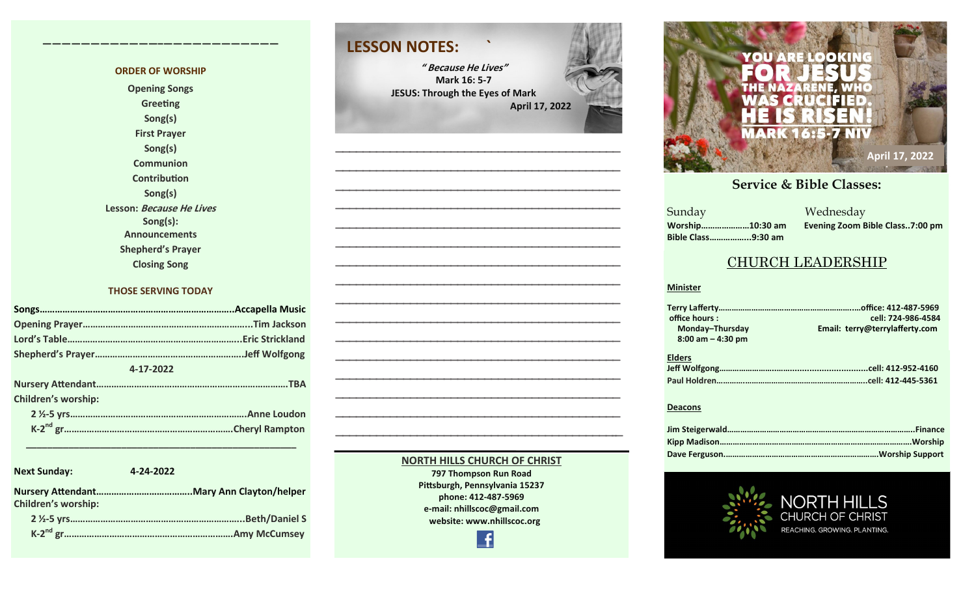#### **ORDER OF WORSHIP**

**————————————–————————————**

**Opening Songs Greeting Song(s) First Prayer Song(s) Communion Contribution Song(s) Lesson: Because He Lives Song(s): Announcements Shepherd's Prayer Closing Song**

#### **THOSE SERVING TODAY**

| 4-17-2022                  |  |
|----------------------------|--|
|                            |  |
| <b>Children's worship:</b> |  |
|                            |  |
|                            |  |
|                            |  |

 **\_\_\_\_\_\_\_\_\_\_\_\_\_\_\_\_\_\_\_\_\_\_\_\_\_\_\_\_\_\_\_\_\_\_\_\_\_\_\_\_\_\_\_\_\_\_\_\_\_\_\_**

**Next Sunday: 4-24-2022 Nursery Attendant………………………………..Mary Ann Clayton/helper Children's worship: 2 ½-5 yrs…………………………………………………………...Beth/Daniel S K-2 nd gr………………………………………………………….Amy McCumsey**

### **LESSON NOTES: `**

**" Because He Lives" Mark 16: 5-7 JESUS: Through the Eyes of Mark April 17, 2022**

#### **NORTH HILLS CHURCH OF CHRIST**

**797 Thompson Run Road Pittsburgh, Pennsylvania 15237 phone: 412-487-5969 e-mail: nhillscoc@gmail.com website: www.nhillscoc.org** 

Æ



#### **December 22, 2017 December 24, 2017 January 7, 2017 January 7, 2017 February 21, 2021**

**Sunday Bible Class……………...9:30 am**

a a manazarta a shekarar 2011<br>Ne dhe a manazarta a manazarta a manazarta a manazarta a manazarta a manazarta a manazarta a manazarta a manaz<br>Ne da manazarta a manazarta a manazarta a manazarta a manazarta a manazarta a man **October 29, 2017 November 5, 2017 November 12, 2017 November 26, 2017 Worship…………………10:30 am Evening Zoom Bible Class..7:00 pm**

### CHURCH LEADERSHIP

#### **Minister**

| office hours:        | cell: 724-986-4584             |
|----------------------|--------------------------------|
| Monday-Thursday      | Email: terry@terrylafferty.com |
| $8:00$ am $-4:30$ pm |                                |
|                      |                                |
| <b>Elders</b>        |                                |
|                      |                                |
|                      |                                |
|                      |                                |

#### **Deacons**